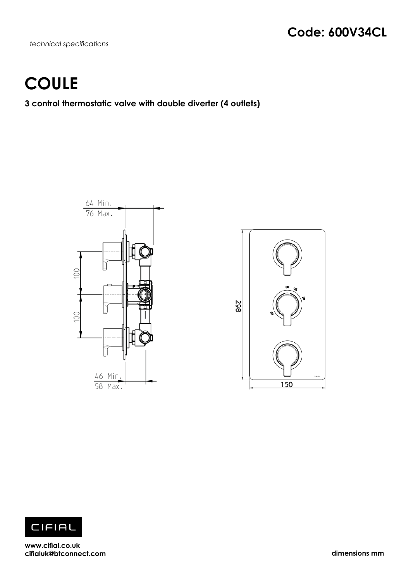*technical specifications*

# **COULE**

### **3 control thermostatic valve with double diverter (4 outlets)**







**www.cifial.co.uk cifialuk@btconnect.com dimensions mm**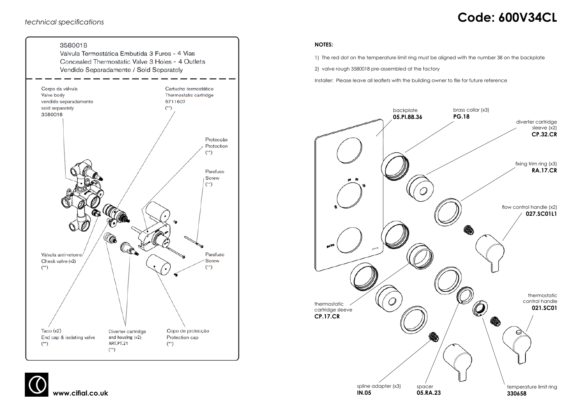# *technical specifications* **Code: 600V34CL**





### **NOTES:**

1) The red dot on the temperature limit ring must be aligned with the number 38 on the backplate

2) valve rough 3580018 pre-assembled at the factory

Installer: Please leave all leaflets with the building owner to file for future reference